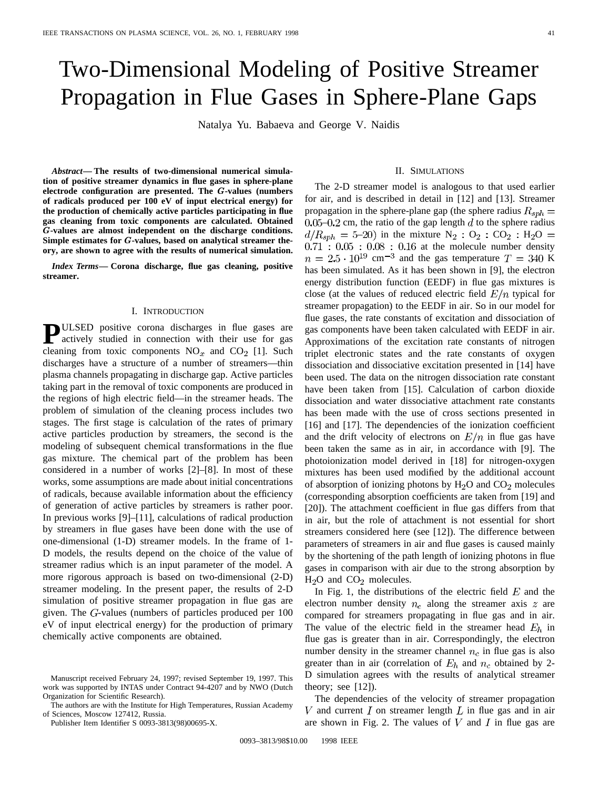# Two-Dimensional Modeling of Positive Streamer Propagation in Flue Gases in Sphere-Plane Gaps

Natalya Yu. Babaeva and George V. Naidis

*Abstract—* **The results of two-dimensional numerical simulation of positive streamer dynamics in flue gases in sphere-plane electrode configuration are presented. The** G**-values (numbers of radicals produced per 100 eV of input electrical energy) for the production of chemically active particles participating in flue gas cleaning from toxic components are calculated. Obtained** G**-values are almost independent on the discharge conditions. Simple estimates for** G**-values, based on analytical streamer theory, are shown to agree with the results of numerical simulation.**

*Index Terms—* **Corona discharge, flue gas cleaning, positive streamer.**

#### I. INTRODUCTION

**PULSED** positive corona discharges in flue gases are actively studied in connection with their use for gas cleaning from toxic components  $NO_x$  and  $CO_2$  [1]. Such discharges have a structure of a number of streamers—thin plasma channels propagating in discharge gap. Active particles taking part in the removal of toxic components are produced in the regions of high electric field—in the streamer heads. The problem of simulation of the cleaning process includes two stages. The first stage is calculation of the rates of primary active particles production by streamers, the second is the modeling of subsequent chemical transformations in the flue gas mixture. The chemical part of the problem has been considered in a number of works [2]–[8]. In most of these works, some assumptions are made about initial concentrations of radicals, because available information about the efficiency of generation of active particles by streamers is rather poor. In previous works [9]–[11], calculations of radical production by streamers in flue gases have been done with the use of one-dimensional (1-D) streamer models. In the frame of 1- D models, the results depend on the choice of the value of streamer radius which is an input parameter of the model. A more rigorous approach is based on two-dimensional (2-D) streamer modeling. In the present paper, the results of 2-D simulation of positive streamer propagation in flue gas are given. The  $G$ -values (numbers of particles produced per  $100$ eV of input electrical energy) for the production of primary chemically active components are obtained.

### II. SIMULATIONS

The 2-D streamer model is analogous to that used earlier for air, and is described in detail in [12] and [13]. Streamer propagation in the sphere-plane gap (the sphere radius  $R_{sph} =$ 0.05–0.2 cm, the ratio of the gap length  $d$  to the sphere radius  $d/R_{sph} = 5{\text -}20$  in the mixture N<sub>2</sub> : O<sub>2</sub> : CO<sub>2</sub> : H<sub>2</sub>O = at the molecule number density cm<sup>-3</sup> and the gas temperature  $T = 340$  K has been simulated. As it has been shown in [9], the electron energy distribution function (EEDF) in flue gas mixtures is close (at the values of reduced electric field  $E/n$  typical for streamer propagation) to the EEDF in air. So in our model for flue gases, the rate constants of excitation and dissociation of gas components have been taken calculated with EEDF in air. Approximations of the excitation rate constants of nitrogen triplet electronic states and the rate constants of oxygen dissociation and dissociative excitation presented in [14] have been used. The data on the nitrogen dissociation rate constant have been taken from [15]. Calculation of carbon dioxide dissociation and water dissociative attachment rate constants has been made with the use of cross sections presented in [16] and [17]. The dependencies of the ionization coefficient and the drift velocity of electrons on  $E/n$  in flue gas have been taken the same as in air, in accordance with [9]. The photoionization model derived in [18] for nitrogen-oxygen mixtures has been used modified by the additional account of absorption of ionizing photons by  $H_2O$  and  $CO_2$  molecules (corresponding absorption coefficients are taken from [19] and [20]). The attachment coefficient in flue gas differs from that in air, but the role of attachment is not essential for short streamers considered here (see [12]). The difference between parameters of streamers in air and flue gases is caused mainly by the shortening of the path length of ionizing photons in flue gases in comparison with air due to the strong absorption by  $H<sub>2</sub>O$  and  $CO<sub>2</sub>$  molecules.

In Fig. 1, the distributions of the electric field  $E$  and the electron number density  $n_e$  along the streamer axis  $z$  are compared for streamers propagating in flue gas and in air. The value of the electric field in the streamer head  $E_h$  in flue gas is greater than in air. Correspondingly, the electron number density in the streamer channel  $n_c$  in flue gas is also greater than in air (correlation of  $E_h$  and  $n_c$  obtained by 2-D simulation agrees with the results of analytical streamer theory; see  $[12]$ ).

The dependencies of the velocity of streamer propagation V and current  $I$  on streamer length  $L$  in flue gas and in air are shown in Fig. 2. The values of  $V$  and  $I$  in flue gas are

Manuscript received February 24, 1997; revised September 19, 1997. This work was supported by INTAS under Contract 94-4207 and by NWO (Dutch Organization for Scientific Research).

The authors are with the Institute for High Temperatures, Russian Academy of Sciences, Moscow 127412, Russia.

Publisher Item Identifier S 0093-3813(98)00695-X.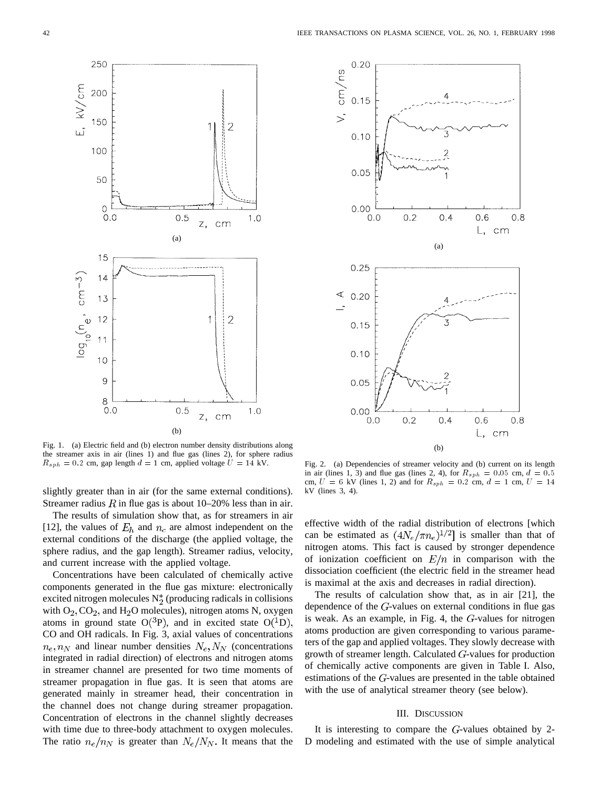

Fig. 1. (a) Electric field and (b) electron number density distributions along the streamer axis in air (lines 1) and flue gas (lines 2), for sphere radius  $R_{sph} = 0.2$  cm, gap length  $d = 1$  cm, applied voltage  $U = 14$  kV.

slightly greater than in air (for the same external conditions). Streamer radius R in flue gas is about  $10-20%$  less than in air.

The results of simulation show that, as for streamers in air [12], the values of  $E_h$  and  $n_c$  are almost independent on the external conditions of the discharge (the applied voltage, the sphere radius, and the gap length). Streamer radius, velocity, and current increase with the applied voltage.

Concentrations have been calculated of chemically active components generated in the flue gas mixture: electronically excited nitrogen molecules  $N_2^*$  (producing radicals in collisions with  $O_2$ ,  $CO_2$ , and  $H_2O$  molecules), nitrogen atoms N, oxygen atoms in ground state  $O(^3P)$ , and in excited state  $O(^1D)$ , CO and OH radicals. In Fig. 3, axial values of concentrations  $n_e, n_N$  and linear number densities  $N_e, N_N$  (concentrations integrated in radial direction) of electrons and nitrogen atoms in streamer channel are presented for two time moments of streamer propagation in flue gas. It is seen that atoms are generated mainly in streamer head, their concentration in the channel does not change during streamer propagation. Concentration of electrons in the channel slightly decreases with time due to three-body attachment to oxygen molecules. The ratio  $n_e/n_N$  is greater than  $N_e/N_N$ . It means that the



Fig. 2. (a) Dependencies of streamer velocity and (b) current on its length in air (lines 1, 3) and flue gas (lines 2, 4), for  $R_{sph} = 0.05$  cm,  $d = 0.5$ cm,  $U = 6$  kV (lines 1, 2) and for  $R_{sph} = 0.2$  cm,  $d = 1$  cm,  $U = 14$ kV (lines 3, 4).

effective width of the radial distribution of electrons [which can be estimated as  $(4N_e/\pi n_e)^{1/2}$  is smaller than that of nitrogen atoms. This fact is caused by stronger dependence of ionization coefficient on  $E/n$  in comparison with the dissociation coefficient (the electric field in the streamer head is maximal at the axis and decreases in radial direction).

The results of calculation show that, as in air [21], the dependence of the  $G$ -values on external conditions in flue gas is weak. As an example, in Fig. 4, the  $G$ -values for nitrogen atoms production are given corresponding to various parameters of the gap and applied voltages. They slowly decrease with growth of streamer length. Calculated  $G$ -values for production of chemically active components are given in Table I. Also, estimations of the  $G$ -values are presented in the table obtained with the use of analytical streamer theory (see below).

### III. DISCUSSION

It is interesting to compare the  $G$ -values obtained by 2-D modeling and estimated with the use of simple analytical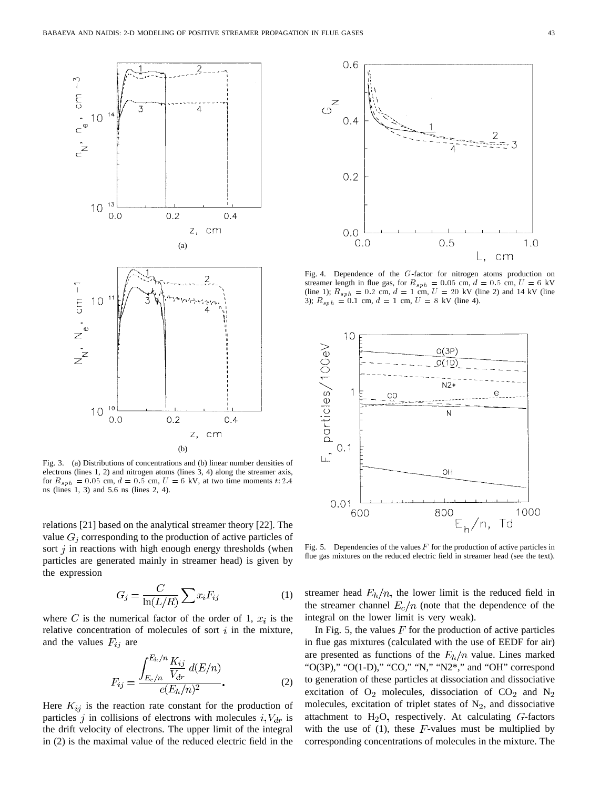

Fig. 3. (a) Distributions of concentrations and (b) linear number densities of electrons (lines 1, 2) and nitrogen atoms (lines 3, 4) along the streamer axis, for  $R_{sph} = 0.05$  cm,  $d = 0.\overline{5}$  cm,  $U = 6$  kV, at two time moments t: 2.4 ns (lines 1, 3) and 5.6 ns (lines 2, 4).

relations [21] based on the analytical streamer theory [22]. The value  $G_i$  corresponding to the production of active particles of sort  $j$  in reactions with high enough energy thresholds (when particles are generated mainly in streamer head) is given by the expression

$$
G_j = \frac{C}{\ln(L/R)} \sum x_i F_{ij} \tag{1}
$$

where C is the numerical factor of the order of 1,  $x_i$  is the relative concentration of molecules of sort  $i$  in the mixture, and the values  $F_{ij}$  are

$$
F_{ij} = \frac{\int_{E_c/n}^{E_h/n} \frac{K_{ij}}{V_{dr}} d(E/n)}{e(E_h/n)^2}.
$$
 (2)

Here  $K_{ij}$  is the reaction rate constant for the production of particles j in collisions of electrons with molecules  $i, V_{dr}$  is the drift velocity of electrons. The upper limit of the integral in (2) is the maximal value of the reduced electric field in the



Fig. 4. Dependence of the G-factor for nitrogen atoms production on streamer length in flue gas, for  $R_{sph} = 0.05$  cm,  $d = 0.5$  cm,  $U = 6$  kV (line 1);  $R_{sph} = 0.2$  cm,  $d = 1$  cm,  $U = 20$  kV (line 2) and 14 kV (line 3);  $R_{sph} = 0.1$  cm,  $d = 1$  cm,  $U = 8$  kV (line 4).



Fig. 5. Dependencies of the values  $F$  for the production of active particles in flue gas mixtures on the reduced electric field in streamer head (see the text).

streamer head  $E_h/n$ , the lower limit is the reduced field in the streamer channel  $E_c/n$  (note that the dependence of the integral on the lower limit is very weak).

In Fig. 5, the values  $F$  for the production of active particles in flue gas mixtures (calculated with the use of EEDF for air) are presented as functions of the  $E_h/n$  value. Lines marked "O(3P)," "O(1-D)," "CO," "N," "N2\*," and "OH" correspond to generation of these particles at dissociation and dissociative excitation of  $O_2$  molecules, dissociation of  $CO_2$  and  $N_2$ molecules, excitation of triplet states of  $N_2$ , and dissociative attachment to  $H<sub>2</sub>O$ , respectively. At calculating  $G$ -factors with the use of  $(1)$ , these F-values must be multiplied by corresponding concentrations of molecules in the mixture. The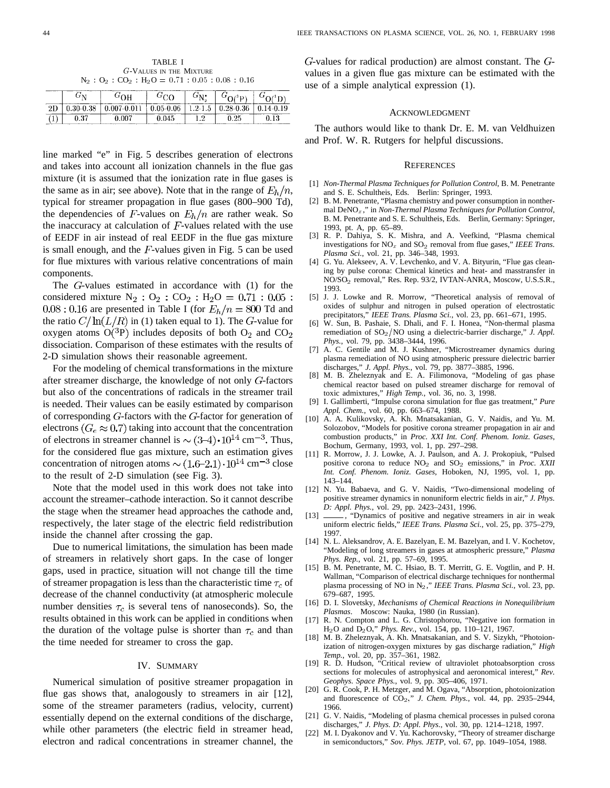TABLE I G-VALUES IN THE MIXTURE  $\textbf{N}_2$  :  $\textbf{O}_2$  :  $\textbf{CO}_2$  :  $\textbf{H}_2\textbf{O} =$   $0.71$  :  $0.05$  :  $0.08$  :  $0.16$ 

|  | ΩU       |               | $\mathbf{C}^{\dagger} \mathbf{N}^*$ |               |  |
|--|----------|---------------|-------------------------------------|---------------|--|
|  | 007-0.01 | $0.05 - 0.06$ | $1.2 - 1.5$                         | $0.28 - 0.36$ |  |
|  |          |               | 19<br>.                             |               |  |

line marked "e" in Fig. 5 describes generation of electrons and takes into account all ionization channels in the flue gas mixture (it is assumed that the ionization rate in flue gases is the same as in air; see above). Note that in the range of  $E_h/n$ , typical for streamer propagation in flue gases (800–900 Td), the dependencies of F-values on  $E_h/n$  are rather weak. So the inaccuracy at calculation of  $F$ -values related with the use of EEDF in air instead of real EEDF in the flue gas mixture is small enough, and the  $F$ -values given in Fig. 5 can be used for flue mixtures with various relative concentrations of main components.

The  $G$ -values estimated in accordance with  $(1)$  for the considered mixture  $N_2$ :  $O_2$ :  $CO_2$ :  $H_2O = 0.71$ :  $0.05$ :  $0.08:0.16$  are presented in Table I (for  $E_h/n = 800$  Td and the ratio  $C/\ln(L/R)$  in (1) taken equal to 1). The G-value for oxygen atoms  $O(^3P)$  includes deposits of both  $O_2$  and  $CO_2$ dissociation. Comparison of these estimates with the results of 2-D simulation shows their reasonable agreement.

For the modeling of chemical transformations in the mixture after streamer discharge, the knowledge of not only  $G$ -factors but also of the concentrations of radicals in the streamer trail is needed. Their values can be easily estimated by comparison of corresponding  $G$ -factors with the  $G$ -factor for generation of electrons ( $G_e \approx 0.7$ ) taking into account that the concentration of electrons in streamer channel is  $\sim (3-4) \cdot 10^{14}$  cm<sup>-3</sup>. Thus, for the considered flue gas mixture, such an estimation gives concentration of nitrogen atoms  $\sim (1.6-2.1) \cdot 10^{14}$  cm<sup>-3</sup> close to the result of 2-D simulation (see Fig. 3).

Note that the model used in this work does not take into account the streamer–cathode interaction. So it cannot describe the stage when the streamer head approaches the cathode and, respectively, the later stage of the electric field redistribution inside the channel after crossing the gap.

Due to numerical limitations, the simulation has been made of streamers in relatively short gaps. In the case of longer gaps, used in practice, situation will not change till the time of streamer propagation is less than the characteristic time  $\tau_c$  of decrease of the channel conductivity (at atmospheric molecule number densities  $\tau_c$  is several tens of nanoseconds). So, the results obtained in this work can be applied in conditions when the duration of the voltage pulse is shorter than  $\tau_c$  and than the time needed for streamer to cross the gap.

## IV. SUMMARY

Numerical simulation of positive streamer propagation in flue gas shows that, analogously to streamers in air [12], some of the streamer parameters (radius, velocity, current) essentially depend on the external conditions of the discharge, while other parameters (the electric field in streamer head, electron and radical concentrations in streamer channel, the

 $G$ -values for radical production) are almost constant. The  $G$ values in a given flue gas mixture can be estimated with the use of a simple analytical expression (1).

#### ACKNOWLEDGMENT

The authors would like to thank Dr. E. M. van Veldhuizen and Prof. W. R. Rutgers for helpful discussions.

#### **REFERENCES**

- [1] *Non-Thermal Plasma Techniques for Pollution Control*, B. M. Penetrante and S. E. Schultheis, Eds. Berlin: Springer, 1993.
- [2] B. M. Penetrante, "Plasma chemistry and power consumption in nonthermal DeNOx," in *Non-Thermal Plasma Techniques for Pollution Control*, B. M. Penetrante and S. E. Schultheis, Eds. Berlin, Germany: Springer, 1993, pt. A, pp. 65–89.
- [3] R. P. Dahiya, S. K. Mishra, and A. Veefkind, "Plasma chemical investigations for NO<sub>x</sub> and SO<sub>2</sub> removal from flue gases," *IEEE Trans. Plasma Sci.*, vol. 21, pp. 346–348, 1993.
- [4] G. Yu. Alekseev, A. V. Levchenko, and V. A. Bityurin, "Flue gas cleaning by pulse corona: Chemical kinetics and heat- and masstransfer in NO/SO2 removal," Res. Rep. 93/2, IVTAN-ANRA, Moscow, U.S.S.R., 1993.
- [5] J. J. Lowke and R. Morrow, "Theoretical analysis of removal of oxides of sulphur and nitrogen in pulsed operation of electrostatic precipitators," *IEEE Trans. Plasma Sci.*, vol. 23, pp. 661–671, 1995.
- [6] W. Sun, B. Pashaie, S. Dhali, and F. I. Honea, "Non-thermal plasma remediation of SO<sub>2</sub>/NO using a dielectric-barrier discharge," *J. Appl. Phys.*, vol. 79, pp. 3438–3444, 1996.
- [7] A. C. Gentile and M. J. Kushner, "Microstreamer dynamics during plasma remediation of NO using atmospheric pressure dielectric barrier discharges," *J. Appl. Phys.*, vol. 79, pp. 3877–3885, 1996.
- [8] M. B. Zheleznyak and E. A. Filimonova, "Modeling of gas phase chemical reactor based on pulsed streamer discharge for removal of toxic admixtures," *High Temp.*, vol. 36, no. 3, 1998.
- [9] I. Gallimberti, "Impulse corona simulation for flue gas treatment," *Pure Appl. Chem.*, vol. 60, pp. 663–674, 1988.
- [10] A. A. Kulikovsky, A. Kh. Mnatsakanian, G. V. Naidis, and Yu. M. Solozobov, "Models for positive corona streamer propagation in air and combustion products," in *Proc. XXI Int. Conf. Phenom. Ioniz. Gases*, Bochum, Germany, 1993, vol. 1, pp. 297–298.
- [11] R. Morrow, J. J. Lowke, A. J. Paulson, and A. J. Prokopiuk, "Pulsed positive corona to reduce NO2 and SO2 emissions," in *Proc. XXII Int. Conf. Phenom. Ioniz. Gases*, Hoboken, NJ, 1995, vol. 1, pp. 143–144.
- [12] N. Yu. Babaeva, and G. V. Naidis, "Two-dimensional modeling of positive streamer dynamics in nonuniform electric fields in air," *J. Phys. D: Appl. Phys.*, vol. 29, pp. 2423–2431, 1996.
- [13]  $\frac{1}{\sqrt{2}}$ , "Dynamics of positive and negative streamers in air in weak uniform electric fields," *IEEE Trans. Plasma Sci.*, vol. 25, pp. 375–279, 1997.
- [14] N. L. Aleksandrov, A. E. Bazelyan, E. M. Bazelyan, and I. V. Kochetov, "Modeling of long streamers in gases at atmospheric pressure," *Plasma Phys. Rep.*, vol. 21, pp. 57–69, 1995.
- [15] B. M. Penetrante, M. C. Hsiao, B. T. Merritt, G. E. Vogtlin, and P. H. Wallman, "Comparison of electrical discharge techniques for nonthermal plasma processing of NO in N2," *IEEE Trans. Plasma Sci.*, vol. 23, pp. 679–687, 1995.
- [16] D. I. Slovetsky, *Mechanisms of Chemical Reactions in Nonequilibrium Plasmas*. Moscow: Nauka, 1980 (in Russian).
- [17] R. N. Compton and L. G. Christophorou, "Negative ion formation in H2O and D2O;" *Phys. Rev.*, vol. 154, pp. 110–121, 1967.
- [18] M. B. Zheleznyak, A. Kh. Mnatsakanian, and S. V. Sizykh, "Photoionization of nitrogen-oxygen mixtures by gas discharge radiation," *High Temp.*, vol. 20, pp. 357–361, 1982.
- [19] R. D. Hudson, "Critical review of ultraviolet photoabsorption cross sections for molecules of astrophysical and aeronomical interest," *Rev. Geophys. Space Phys.*, vol. 9, pp. 305–406, 1971.
- [20] G. R. Cook, P. H. Metzger, and M. Ogava, "Absorption, photoionization and fluorescence of CO2;" *J. Chem. Phys.*, vol. 44, pp. 2935–2944, 1966.
- [21] G. V. Naidis, "Modeling of plasma chemical processes in pulsed corona discharges," *J. Phys. D: Appl. Phys.*, vol. 30, pp. 1214–1218, 1997.
- [22] M. I. Dyakonov and V. Yu. Kachorovsky, "Theory of streamer discharge in semiconductors," *Sov. Phys. JETP*, vol. 67, pp. 1049–1054, 1988.